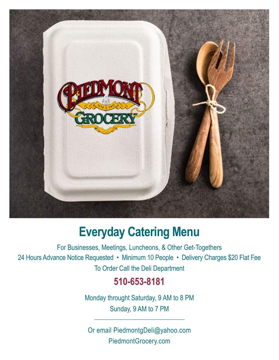

# **Everyday Catering Menu**

For Businesses, Meetings, Luncheons, & Other Get-Togethers 24 Hours Advance Notice Requested • Minimum 10 People • Delivery Charges \$20 Flat Fee To Order Call the Deli Department

## **510-653-8181**

Monday throught Saturday, 9 AM to 8 PM Sunday, 9 AM to 7 PM

\_\_\_\_\_\_\_\_\_\_\_\_\_\_\_\_\_\_\_\_\_\_\_\_\_\_\_\_\_\_\_

Or email PiedmontgDeli@yahoo.com PiedmontGrocery.com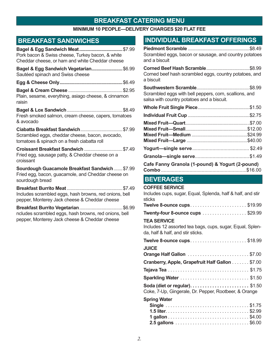### **Breakfast Catering menu**

### **Minimum 10 People—Delivery Charges \$20 Flat Fee**

### **Breakfast Sandwiches**

| Pork bacon & Swiss cheese, Turkey bacon, & white<br>Cheddar cheese, or ham and white Cheddar cheese                     |  |
|-------------------------------------------------------------------------------------------------------------------------|--|
| Bagel & Egg Sandwich Vegetarian\$6.99<br>Sautéed spinach and Swiss cheese                                               |  |
|                                                                                                                         |  |
| Plain, sesame, everything, asiago cheese, & cinnamon<br>raisin                                                          |  |
| Fresh smoked salmon, cream cheese, capers, tomatoes<br>& avocado                                                        |  |
| Scrambled eggs, cheddar cheese, bacon, avocado,<br>tomatoes & spinach on a fresh ciabatta roll                          |  |
| Croissant Breakfast Sandwich  \$7.49<br>Fried egg, sausage patty, & Cheddar cheese on a<br>croissant                    |  |
| Sourdough Guacamole Breakfast Sandwich  \$7.99<br>Fried egg, bacon, guacamole, and Cheddar cheese on<br>sourdough bread |  |
| Includes scrambled eggs, hash browns, red onions, bell<br>pepper, Monterey Jack cheese & Cheddar cheese                 |  |
| ncludes scrambled eggs, hash browns, red onions, bell<br>pepper, Monterey Jack cheese & Cheddar cheese                  |  |

### **Individual Breakfast Offerings**

| Scrambled eggs, bacon or sausage, and country potatoes |  |
|--------------------------------------------------------|--|
| and a biscuit                                          |  |

| Corned beef hash scrambled eggs, country potatoes, and |  |
|--------------------------------------------------------|--|
| a biscuit                                              |  |

**Southwestern Scramble**...........................................\$8.99 Scrambled eggs with bell peppers, corn, scallions, and salsa with country potatoes and a biscuit.

| Cafe Fanny Granola (1-pound) & Yogurt (2-pound) |  |
|-------------------------------------------------|--|
|                                                 |  |

### **Beverages**

| <b>COFFEE SERVICE</b>                                                                                                |
|----------------------------------------------------------------------------------------------------------------------|
| Includes cups, sugar, Equal, Splenda, half & half, and stir<br>sticks                                                |
| <b>Twelve 8-ounce cups\$19.99</b>                                                                                    |
| <b>Twenty-four 8-ounce cups \$29.99</b>                                                                              |
| <b>TEA SERVICE</b><br>Includes 12 assorted tea bags, cups, sugar, Equal, Splen-<br>da, half & half, and stir sticks. |
| Twelve 8-ounce cups\$18.99                                                                                           |
| <b>JUICE</b>                                                                                                         |
| Orange Half Gallon \$7.00                                                                                            |
| Cranberry, Apple, Grapefruit Half Gallon \$7.00                                                                      |
|                                                                                                                      |
|                                                                                                                      |
| <b>Soda (diet or regular)</b> \$1.50<br>Coke, 7-Up, Gingerale, Dr. Pepper, Rootbeer, & Orange                        |
| <b>Spring Water</b>                                                                                                  |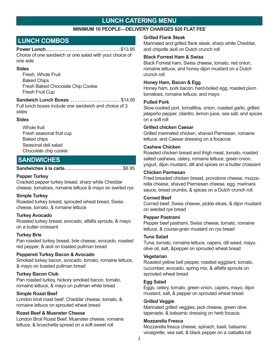### **Lunch Catering menu**

### **Minimum 10 People—Delivery Charges \$20 Flat Fee**

### **LUNCH COMBOS**

#### **Power Lunch**............................................................\$13.95

Choice of one sandwich or one salad with your choice of one side

#### **Sides**

Fresh, Whole Fruit Baked Chips Fresh Baked Chocolate Chip Cookie Fresh Fruit Cup

#### **Sandwich Lunch Boxes..................... \$14.95**

Full lunch boxes include one sandwich and choice of 3 sides

#### **Sides**

Whole fruit Fresh seasonal fruit cup Baked chips Seasonal deli salad Chocolate chip cookie

### **SANDWiCHES**

#### **Sandwiches à la carte**...............................................\$8.95

#### **Pepper Turkey**

Cracked pepper turkey breast, sharp white Cheddar cheese, tomatoes, romaine lettuce & mayo on swirled rye

#### **Simple Turkey**

Roasted turkey breast, sprouted wheat bread, Swiss cheese, tomato, & romaine lettuce

#### **Turkey Avocado**

Roasted turkey breast, avocado, alfalfa sprouts, & mayo on a butter croissant

#### **Turkey Brie**

Pan roasted turkey breast, brie cheese, avocado, roasted red pepper, & aioli on toasted pullman bread

#### **Peppered Turkey Bacon & Avocado**

Smoked turkey bacon, avocado, tomato, romaine lettuce, & mayo on toasted pullman bread

#### **Turkey Bacon Club**

Pan roasted turkey, hickory smoked bacon, tomato, romaine lettuce, & mayo on pullman white bread

#### **Simple Roast Beef**

London broil roast beef, Cheddar cheese, tomato, & romaine lettuce on sprouted wheat bread

#### **Roast Beef & Muenster Cheese**

London Broil Roast Beef, Muenster cheese, romaine lettuce, & bruschetta spread on a soft sweet roll

#### **Grilled Flank Steak**

Marinated and grilled flank steak, sharp white Cheddar, and chipotle aioli on Dutch crunch roll

#### **Black Forrest Ham & Swiss**

Black Forrest ham, Swiss cheese, tomato, red onion, romaine lettuce, and honey dijon mustard on a Dutch crunch roll

#### **Honey Ham, Bacon & Egg**

Honey ham, pork bacon, hard-boiled egg, roasted plum tomatoes, romaine lettuce, and mayo

#### **Pulled Pork**

Slow-cooked port, tomatillos, onion, roasted garlic, grilled jalapeño pepper, cilantro, lemon juice, sea salt, and spices on a soft roll

#### **Grilled chicken Caesar**

Grilled marinated chicken, shaved Parmesan, romaine lettuce, and Caesar dressing on a focaccia

#### **Cashew Chicken**

Roasted chicken breast and thigh meat, tomato, roasted salted cashews, celery, romaine lettuce, green onion, yogurt, dijon mustard, dill and spices on a butter croissant

#### **Chicken Parmesan**

Fried breaded chicken breast, provolone cheese, mozzarella cheese, shaved Parmesan cheese, egg, marinara sauce, bread crumbs, & spices on a Dutch crunch roll

#### **Corned Beef**

Corned beef, Swiss cheese, pickle slices, & dijon mustard on seeded rye bread

#### **Pepper Pastrami**

Pepper beef pastrami, Swiss cheese, tomato, romaine lettuce, & course-grain mustard on rye bread

#### **Tuna Salad**

Tuna, tomato, romaine lettuce, capers, dill weed, mayo, olive oil, salt, &pepper on sprouted wheat bread

#### **Vegetarian**

Roasted yellow bell pepper, roasted eggplant, tomato, cucumber, avocado, spring mix, & alfalfa sprouts on sprouted wheat bread

#### **Egg Salad**

Eggs, celery, tomato, green onion, capers, mayo, dijon mustard, salt, & pepper on sprouted wheat bread

#### **Grilled Veggie**

Marinated grilled veggies, jack cheese, green olive tapenade, & balsamic dressing on herb focacia.

#### **Mozzarella Fresca**

Mozzarella fresca cheese, spinach, basil, balsamic vinaigrette, sea salt, & black pepper on a ciabatta roll